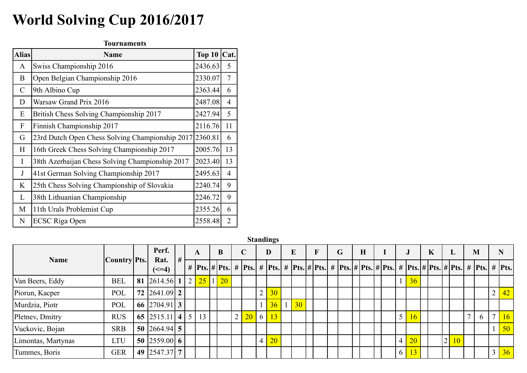## World Solving Cup 2016/2017

|              | World Solving Cup 2016/2017                             |                     |    |                    |      |                |              |              |                                                      |             |                  |          |               |             |   |                               |   |   |             |          |
|--------------|---------------------------------------------------------|---------------------|----|--------------------|------|----------------|--------------|--------------|------------------------------------------------------|-------------|------------------|----------|---------------|-------------|---|-------------------------------|---|---|-------------|----------|
|              |                                                         | <b>Tournaments</b>  |    |                    |      |                |              |              |                                                      |             |                  |          |               |             |   |                               |   |   |             |          |
| <b>Alias</b> |                                                         | <b>Name</b>         |    |                    |      |                |              |              | Top $10$ Cat.                                        |             |                  |          |               |             |   |                               |   |   |             |          |
| A            | Swiss Championship 2016                                 |                     |    |                    |      |                | 2436.63      |              | 5                                                    |             |                  |          |               |             |   |                               |   |   |             |          |
| B            | Open Belgian Championship 2016                          |                     |    |                    |      |                | 2330.07      |              | 7                                                    |             |                  |          |               |             |   |                               |   |   |             |          |
| $\mathbf C$  | 9th Albino Cup                                          |                     |    |                    |      |                | 2363.44      |              | 6                                                    |             |                  |          |               |             |   |                               |   |   |             |          |
| D            | Warsaw Grand Prix 2016                                  |                     |    |                    |      |                | 2487.08      |              | 4                                                    |             |                  |          |               |             |   |                               |   |   |             |          |
| E            | British Chess Solving Championship 2017                 |                     |    |                    |      |                | 2427.94      |              | 5                                                    |             |                  |          |               |             |   |                               |   |   |             |          |
| F            | Finnish Championship 2017                               |                     |    |                    |      |                | 2116.76      |              | 11                                                   |             |                  |          |               |             |   |                               |   |   |             |          |
| G            | 23rd Dutch Open Chess Solving Championship 2017 2360.81 |                     |    |                    |      |                |              |              | 6                                                    |             |                  |          |               |             |   |                               |   |   |             |          |
| H            | 16th Greek Chess Solving Championship 2017              |                     |    |                    |      |                | 2005.76      |              | 13                                                   |             |                  |          |               |             |   |                               |   |   |             |          |
| I            | 38th Azerbaijan Chess Solving Championship 2017         |                     |    |                    |      |                | 2023.40      |              | 13                                                   |             |                  |          |               |             |   |                               |   |   |             |          |
| $\bf J$      | 41st German Solving Championship 2017                   |                     |    |                    |      |                | 2495.63      |              | $\overline{4}$                                       |             |                  |          |               |             |   |                               |   |   |             |          |
| K            | 25th Chess Solving Championship of Slovakia             |                     |    |                    |      |                | 2240.74      |              | 9                                                    |             |                  |          |               |             |   |                               |   |   |             |          |
| L            | 38th Lithuanian Championship                            |                     |    |                    |      |                | 2246.72      |              | 9                                                    |             |                  |          |               |             |   |                               |   |   |             |          |
| M            | 11th Urals Problemist Cup                               |                     |    |                    |      |                | 2355.26      |              | 6                                                    |             |                  |          |               |             |   |                               |   |   |             |          |
| N            | <b>ECSC Riga Open</b>                                   |                     |    |                    |      |                | 2558.48      |              | $\overline{2}$                                       |             |                  |          |               |             |   |                               |   |   |             |          |
|              |                                                         |                     |    |                    |      |                |              |              |                                                      |             | <b>Standings</b> |          |               |             |   |                               |   |   |             |          |
|              |                                                         |                     |    | Perf.              |      |                | $\mathbf{A}$ |              | $\bf{B}$                                             | $\mathbf C$ |                  | D        | ${\bf E}$     | $\mathbf F$ | G | H                             | I |   | ${\bf J}$   | $\bf{F}$ |
|              | <b>Name</b>                                             | <b>Country</b> Pts. |    | Rat.<br>$(\leq=4)$ | $\#$ | #              |              |              | $\left  \frac{\text{pts.}}{\text{#}} \right $ Pts. # |             | #<br>Pts.        | Pts. $#$ | $Pts.$ # Pts. |             |   | #  Pts.  #  Pts.  #  Pts.   # |   |   | $Plts.$ # F |          |
|              | Van Beers, Eddy                                         | <b>BEL</b>          | 81 | $2614.56$ 1        |      | $\overline{2}$ | 25           | $\mathbf{1}$ | 20                                                   |             |                  |          |               |             |   |                               |   | 1 | 36          |          |
|              | Piorun, Kacper                                          | POL                 |    | 72 2641.09 2       |      |                |              |              |                                                      |             | $\overline{2}$   | 30       |               |             |   |                               |   |   |             |          |
|              |                                                         |                     |    |                    |      |                |              |              |                                                      |             |                  |          |               |             |   |                               |   |   |             |          |

| 2487.08<br>Warsaw Grand Prix 2016<br>$\overline{4}$<br>D<br>British Chess Solving Championship 2017<br>$5\overline{)}$<br>2427.94<br>E<br>Finnish Championship 2017<br>2116.76 11<br>${\bf F}$<br>23rd Dutch Open Chess Solving Championship 2017<br>2360.81<br>6<br>G<br>13<br>16th Greek Chess Solving Championship 2017<br>2005.76<br>H<br>38th Azerbaijan Chess Solving Championship 2017<br>$\begin{array}{ c c c c c } \hline 2023.40 & 13 \\\hline \end{array}$<br>41st German Solving Championship 2017<br>2495.63<br>$\overline{4}$<br>25th Chess Solving Championship of Slovakia<br>2240.74<br>9<br>K<br>38th Lithuanian Championship<br>2246.72<br>9<br>11th Urals Problemist Cup<br>2355.26<br>M<br>6<br><b>ECSC Riga Open</b><br>2558.48<br>2<br>$\mathbf N$<br><b>Standings</b><br>Perf.<br>$\bf{E}$<br>$\bf{B}$<br>$\mathbf C$<br>G<br>$\mathbf{K}$<br>$\mathbf{M}$<br>D<br>$\mathbf{F}$<br>$\mathbf{H}$<br>$\mathbf N$<br>L<br>$\bf J$<br>A<br><b>Name</b><br>Country Pts.<br>Rat.<br>  #  Pts.   #  Pts.   #  Pts.   #  Pts.   #  Pts.   #  Pts.   #  Pts.  <br>  #  Pts. # Pts. # Pts.  #  Pts. # Pts. # Pts.  #  Pts.  #  Pts.<br>$(\leq=4)$<br>81<br>$2614.56$ 1<br>$2\sqrt{25}$<br>$\mathbf{1}$<br>20<br>36<br>Van Beers, Eddy<br><b>BEL</b><br>$2641.09$ 2<br>72<br>2 <sup>1</sup><br>42<br>Piorun, Kacper<br>POL<br>30<br>2 <sup>1</sup><br>66 2704.91 3<br>36<br>30 <sup>°</sup><br>Murdzia, Piotr<br>POL<br>65 2515.11 4 5<br>13<br>$2\vert 20$<br>$6 \mid$<br>13<br>$5 \mid 16$<br>16<br><b>RUS</b><br>6<br>Pletnev, Dmitry<br>$\mathbf{r}$<br>50 $\big  2664.94 \big  5 \big $<br>50<br>Vuckovic, Bojan<br><b>SRB</b><br>$\overline{2}$<br>50 2559.00 6<br>$ 20\rangle$<br>20<br>Limontas, Martynas<br>$\overline{4}$<br>$ 10\rangle$<br>LTU<br>$\overline{4}$<br>49 2547.37 7<br>$3\overline{)36}$<br>6<br>13<br>Tummes, Boris<br><b>GER</b> | 9th Albino Cup |  |  |  | $2303.44$ 0 |  |  |  |  |  |  |  |  |  |  |  |  |  |
|---------------------------------------------------------------------------------------------------------------------------------------------------------------------------------------------------------------------------------------------------------------------------------------------------------------------------------------------------------------------------------------------------------------------------------------------------------------------------------------------------------------------------------------------------------------------------------------------------------------------------------------------------------------------------------------------------------------------------------------------------------------------------------------------------------------------------------------------------------------------------------------------------------------------------------------------------------------------------------------------------------------------------------------------------------------------------------------------------------------------------------------------------------------------------------------------------------------------------------------------------------------------------------------------------------------------------------------------------------------------------------------------------------------------------------------------------------------------------------------------------------------------------------------------------------------------------------------------------------------------------------------------------------------------------------------------------------------------------------------------------------------------------------------------------------------------------------------------------------------------------|----------------|--|--|--|-------------|--|--|--|--|--|--|--|--|--|--|--|--|--|
|                                                                                                                                                                                                                                                                                                                                                                                                                                                                                                                                                                                                                                                                                                                                                                                                                                                                                                                                                                                                                                                                                                                                                                                                                                                                                                                                                                                                                                                                                                                                                                                                                                                                                                                                                                                                                                                                           |                |  |  |  |             |  |  |  |  |  |  |  |  |  |  |  |  |  |
|                                                                                                                                                                                                                                                                                                                                                                                                                                                                                                                                                                                                                                                                                                                                                                                                                                                                                                                                                                                                                                                                                                                                                                                                                                                                                                                                                                                                                                                                                                                                                                                                                                                                                                                                                                                                                                                                           |                |  |  |  |             |  |  |  |  |  |  |  |  |  |  |  |  |  |
|                                                                                                                                                                                                                                                                                                                                                                                                                                                                                                                                                                                                                                                                                                                                                                                                                                                                                                                                                                                                                                                                                                                                                                                                                                                                                                                                                                                                                                                                                                                                                                                                                                                                                                                                                                                                                                                                           |                |  |  |  |             |  |  |  |  |  |  |  |  |  |  |  |  |  |
|                                                                                                                                                                                                                                                                                                                                                                                                                                                                                                                                                                                                                                                                                                                                                                                                                                                                                                                                                                                                                                                                                                                                                                                                                                                                                                                                                                                                                                                                                                                                                                                                                                                                                                                                                                                                                                                                           |                |  |  |  |             |  |  |  |  |  |  |  |  |  |  |  |  |  |
|                                                                                                                                                                                                                                                                                                                                                                                                                                                                                                                                                                                                                                                                                                                                                                                                                                                                                                                                                                                                                                                                                                                                                                                                                                                                                                                                                                                                                                                                                                                                                                                                                                                                                                                                                                                                                                                                           |                |  |  |  |             |  |  |  |  |  |  |  |  |  |  |  |  |  |
|                                                                                                                                                                                                                                                                                                                                                                                                                                                                                                                                                                                                                                                                                                                                                                                                                                                                                                                                                                                                                                                                                                                                                                                                                                                                                                                                                                                                                                                                                                                                                                                                                                                                                                                                                                                                                                                                           |                |  |  |  |             |  |  |  |  |  |  |  |  |  |  |  |  |  |
|                                                                                                                                                                                                                                                                                                                                                                                                                                                                                                                                                                                                                                                                                                                                                                                                                                                                                                                                                                                                                                                                                                                                                                                                                                                                                                                                                                                                                                                                                                                                                                                                                                                                                                                                                                                                                                                                           |                |  |  |  |             |  |  |  |  |  |  |  |  |  |  |  |  |  |
|                                                                                                                                                                                                                                                                                                                                                                                                                                                                                                                                                                                                                                                                                                                                                                                                                                                                                                                                                                                                                                                                                                                                                                                                                                                                                                                                                                                                                                                                                                                                                                                                                                                                                                                                                                                                                                                                           |                |  |  |  |             |  |  |  |  |  |  |  |  |  |  |  |  |  |
|                                                                                                                                                                                                                                                                                                                                                                                                                                                                                                                                                                                                                                                                                                                                                                                                                                                                                                                                                                                                                                                                                                                                                                                                                                                                                                                                                                                                                                                                                                                                                                                                                                                                                                                                                                                                                                                                           |                |  |  |  |             |  |  |  |  |  |  |  |  |  |  |  |  |  |
|                                                                                                                                                                                                                                                                                                                                                                                                                                                                                                                                                                                                                                                                                                                                                                                                                                                                                                                                                                                                                                                                                                                                                                                                                                                                                                                                                                                                                                                                                                                                                                                                                                                                                                                                                                                                                                                                           |                |  |  |  |             |  |  |  |  |  |  |  |  |  |  |  |  |  |
|                                                                                                                                                                                                                                                                                                                                                                                                                                                                                                                                                                                                                                                                                                                                                                                                                                                                                                                                                                                                                                                                                                                                                                                                                                                                                                                                                                                                                                                                                                                                                                                                                                                                                                                                                                                                                                                                           |                |  |  |  |             |  |  |  |  |  |  |  |  |  |  |  |  |  |
|                                                                                                                                                                                                                                                                                                                                                                                                                                                                                                                                                                                                                                                                                                                                                                                                                                                                                                                                                                                                                                                                                                                                                                                                                                                                                                                                                                                                                                                                                                                                                                                                                                                                                                                                                                                                                                                                           |                |  |  |  |             |  |  |  |  |  |  |  |  |  |  |  |  |  |
|                                                                                                                                                                                                                                                                                                                                                                                                                                                                                                                                                                                                                                                                                                                                                                                                                                                                                                                                                                                                                                                                                                                                                                                                                                                                                                                                                                                                                                                                                                                                                                                                                                                                                                                                                                                                                                                                           |                |  |  |  |             |  |  |  |  |  |  |  |  |  |  |  |  |  |
|                                                                                                                                                                                                                                                                                                                                                                                                                                                                                                                                                                                                                                                                                                                                                                                                                                                                                                                                                                                                                                                                                                                                                                                                                                                                                                                                                                                                                                                                                                                                                                                                                                                                                                                                                                                                                                                                           |                |  |  |  |             |  |  |  |  |  |  |  |  |  |  |  |  |  |
|                                                                                                                                                                                                                                                                                                                                                                                                                                                                                                                                                                                                                                                                                                                                                                                                                                                                                                                                                                                                                                                                                                                                                                                                                                                                                                                                                                                                                                                                                                                                                                                                                                                                                                                                                                                                                                                                           |                |  |  |  |             |  |  |  |  |  |  |  |  |  |  |  |  |  |
|                                                                                                                                                                                                                                                                                                                                                                                                                                                                                                                                                                                                                                                                                                                                                                                                                                                                                                                                                                                                                                                                                                                                                                                                                                                                                                                                                                                                                                                                                                                                                                                                                                                                                                                                                                                                                                                                           |                |  |  |  |             |  |  |  |  |  |  |  |  |  |  |  |  |  |
|                                                                                                                                                                                                                                                                                                                                                                                                                                                                                                                                                                                                                                                                                                                                                                                                                                                                                                                                                                                                                                                                                                                                                                                                                                                                                                                                                                                                                                                                                                                                                                                                                                                                                                                                                                                                                                                                           |                |  |  |  |             |  |  |  |  |  |  |  |  |  |  |  |  |  |
|                                                                                                                                                                                                                                                                                                                                                                                                                                                                                                                                                                                                                                                                                                                                                                                                                                                                                                                                                                                                                                                                                                                                                                                                                                                                                                                                                                                                                                                                                                                                                                                                                                                                                                                                                                                                                                                                           |                |  |  |  |             |  |  |  |  |  |  |  |  |  |  |  |  |  |
|                                                                                                                                                                                                                                                                                                                                                                                                                                                                                                                                                                                                                                                                                                                                                                                                                                                                                                                                                                                                                                                                                                                                                                                                                                                                                                                                                                                                                                                                                                                                                                                                                                                                                                                                                                                                                                                                           |                |  |  |  |             |  |  |  |  |  |  |  |  |  |  |  |  |  |
|                                                                                                                                                                                                                                                                                                                                                                                                                                                                                                                                                                                                                                                                                                                                                                                                                                                                                                                                                                                                                                                                                                                                                                                                                                                                                                                                                                                                                                                                                                                                                                                                                                                                                                                                                                                                                                                                           |                |  |  |  |             |  |  |  |  |  |  |  |  |  |  |  |  |  |
|                                                                                                                                                                                                                                                                                                                                                                                                                                                                                                                                                                                                                                                                                                                                                                                                                                                                                                                                                                                                                                                                                                                                                                                                                                                                                                                                                                                                                                                                                                                                                                                                                                                                                                                                                                                                                                                                           |                |  |  |  |             |  |  |  |  |  |  |  |  |  |  |  |  |  |
|                                                                                                                                                                                                                                                                                                                                                                                                                                                                                                                                                                                                                                                                                                                                                                                                                                                                                                                                                                                                                                                                                                                                                                                                                                                                                                                                                                                                                                                                                                                                                                                                                                                                                                                                                                                                                                                                           |                |  |  |  |             |  |  |  |  |  |  |  |  |  |  |  |  |  |
|                                                                                                                                                                                                                                                                                                                                                                                                                                                                                                                                                                                                                                                                                                                                                                                                                                                                                                                                                                                                                                                                                                                                                                                                                                                                                                                                                                                                                                                                                                                                                                                                                                                                                                                                                                                                                                                                           |                |  |  |  |             |  |  |  |  |  |  |  |  |  |  |  |  |  |
|                                                                                                                                                                                                                                                                                                                                                                                                                                                                                                                                                                                                                                                                                                                                                                                                                                                                                                                                                                                                                                                                                                                                                                                                                                                                                                                                                                                                                                                                                                                                                                                                                                                                                                                                                                                                                                                                           |                |  |  |  |             |  |  |  |  |  |  |  |  |  |  |  |  |  |
|                                                                                                                                                                                                                                                                                                                                                                                                                                                                                                                                                                                                                                                                                                                                                                                                                                                                                                                                                                                                                                                                                                                                                                                                                                                                                                                                                                                                                                                                                                                                                                                                                                                                                                                                                                                                                                                                           |                |  |  |  |             |  |  |  |  |  |  |  |  |  |  |  |  |  |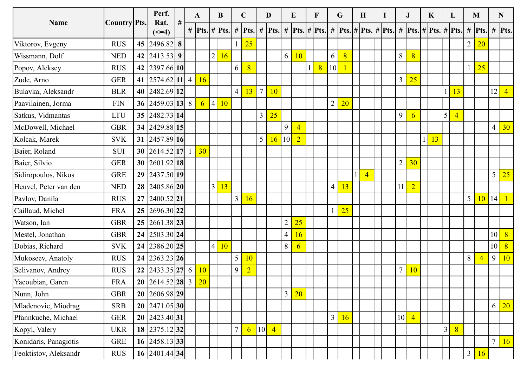|                       |                      |    | Perf.                                                      |            | A               | $\bf{B}$        |                 | $\mathbf{C}$                  |                | D                           |                | $\bf{E}$                                                        | $\mathbf{F}$   |                | $\mathbf G$      | H                                                                                                                             |  | $\mathbf{J}$    |                | $\mathbf{K}$      | $\bf{L}$             |    | M                                 |                | N                 |
|-----------------------|----------------------|----|------------------------------------------------------------|------------|-----------------|-----------------|-----------------|-------------------------------|----------------|-----------------------------|----------------|-----------------------------------------------------------------|----------------|----------------|------------------|-------------------------------------------------------------------------------------------------------------------------------|--|-----------------|----------------|-------------------|----------------------|----|-----------------------------------|----------------|-------------------|
| <b>Name</b>           | Country Pts.         |    | Rat.                                                       | $\vert \#$ | # Pts. # Pts. # |                 |                 |                               |                |                             |                | $\left  \right $ Pts. $\left  \right  \neq \left  \right $ Pts. | $#$ Pts.       |                |                  | # $\left  \mathbf{P}\mathbf{ts.} \right $ # $\left  \mathbf{P}\mathbf{ts.} \right $ # $\left  \mathbf{P}\mathbf{ts.} \right $ |  |                 |                | # $Pts.$ # $Pts.$ | $#$ Pts.             |    | $\#$ Pts.                         |                | # Pts.            |
| Viktorov, Evgeny      | <b>RUS</b>           | 45 | $(\leq=4)$<br>$2496.82$ 8                                  |            |                 |                 |                 | 25<br>$\mathbf{1}$            |                |                             |                |                                                                 |                |                |                  |                                                                                                                               |  |                 |                |                   |                      |    | $\overline{2}$<br>20 <sup>°</sup> |                |                   |
| Wissmann, Dolf        | <b>NED</b>           |    | 42 2413.53 9                                               |            |                 | $\overline{2}$  | 16 <sup>°</sup> |                               |                |                             | 6              | ΙU                                                              |                | 6              | $\overline{8}$   |                                                                                                                               |  | 8               | 8 <sup>1</sup> |                   |                      |    |                                   |                |                   |
| Popov, Aleksey        | <b>RUS</b>           |    | 42 2397.66 10                                              |            |                 |                 |                 | 6<br>8                        |                |                             |                |                                                                 | 8 <sup>1</sup> | 10             |                  |                                                                                                                               |  |                 |                |                   |                      |    | 25                                |                |                   |
| Zude, Arno            | <b>GER</b>           |    | 41 $\left  2574.62 \right  11 \right  4 \left  16 \right $ |            |                 |                 |                 |                               |                |                             |                |                                                                 |                |                |                  |                                                                                                                               |  | $\overline{3}$  | 25             |                   |                      |    |                                   |                |                   |
| Bulavka, Aleksandr    | <b>BLR</b>           |    | 40 2482.69 12                                              |            |                 |                 |                 | 4 <br>13                      | $\overline{7}$ | 10                          |                |                                                                 |                |                |                  |                                                                                                                               |  |                 |                |                   |                      | 13 |                                   | 12             | $\overline{4}$    |
| Paavilainen, Jorma    | <b>FIN</b>           |    | 36 2459.03 13 8                                            |            | 6 <sup>1</sup>  | $\vert 4 \vert$ | 10              |                               |                |                             |                |                                                                 |                | $\overline{2}$ | $\overline{20}$  |                                                                                                                               |  |                 |                |                   |                      |    |                                   |                |                   |
| Satkus, Vidmantas     | <b>LTU</b>           |    | 35 2482.73 14                                              |            |                 |                 |                 |                               | $\overline{3}$ | 25                          |                |                                                                 |                |                |                  |                                                                                                                               |  | 9               | $\mathfrak{b}$ |                   | 5 <br>$\overline{4}$ |    |                                   |                |                   |
| McDowell, Michael     | <b>GBR</b>           |    | 34 2429.88 15                                              |            |                 |                 |                 |                               |                |                             | 9              | $\overline{4}$                                                  |                |                |                  |                                                                                                                               |  |                 |                |                   |                      |    |                                   |                | $4 \overline{30}$ |
| Kolcak, Marek         | <b>SVK</b>           |    | 31 2457.89 16                                              |            |                 |                 |                 |                               |                | $5 \,   \, 16 \,   \, 10  $ |                | $\boxed{2}$                                                     |                |                |                  |                                                                                                                               |  |                 | $\mathbf{1}$   | 13                |                      |    |                                   |                |                   |
| Baier, Roland         | <b>SUI</b>           |    | 30 $\big  2614.52 \big  17 \big  1 \big  30$               |            |                 |                 |                 |                               |                |                             |                |                                                                 |                |                |                  |                                                                                                                               |  |                 |                |                   |                      |    |                                   |                |                   |
| Baier, Silvio         | <b>GER</b>           |    | 30 $\big  2601.92 \big  18 \big $                          |            |                 |                 |                 |                               |                |                             |                |                                                                 |                |                |                  |                                                                                                                               |  | $\overline{2}$  | 30             |                   |                      |    |                                   |                |                   |
| Sidiropoulos, Nikos   | <b>GRE</b>           |    | 29 2437.50 19                                              |            |                 |                 |                 |                               |                |                             |                |                                                                 |                |                |                  | $\overline{4}$                                                                                                                |  |                 |                |                   |                      |    |                                   |                | $5\vert 25$       |
| Heuvel, Peter van den | <b>NED</b>           |    | 28 2405.86 20                                              |            |                 | $\vert 3 \vert$ | $\overline{13}$ |                               |                |                             |                |                                                                 |                | $\overline{4}$ | <u>13</u>        |                                                                                                                               |  | 11              | $\overline{2}$ |                   |                      |    |                                   |                |                   |
| Pavlov, Danila        | <b>RUS</b>           |    | 27 2400.52 21                                              |            |                 |                 |                 | 3 16                          |                |                             |                |                                                                 |                |                |                  |                                                                                                                               |  |                 |                |                   |                      |    | $5\overline{)}$<br><b>10</b>      | 14             |                   |
| Caillaud, Michel      | <b>FRA</b>           |    | 25 2696.30 22                                              |            |                 |                 |                 |                               |                |                             |                |                                                                 |                |                | $25\overline{)}$ |                                                                                                                               |  |                 |                |                   |                      |    |                                   |                |                   |
| Watson, Ian           | $\operatorname{GBR}$ |    | 25  2661.38  23                                            |            |                 |                 |                 |                               |                |                             | $\overline{2}$ | 25                                                              |                |                |                  |                                                                                                                               |  |                 |                |                   |                      |    |                                   |                |                   |
| Mestel, Jonathan      | $\operatorname{GBR}$ |    | 24  2503.30 24                                             |            |                 |                 |                 |                               |                |                             | $\overline{4}$ | 16                                                              |                |                |                  |                                                                                                                               |  |                 |                |                   |                      |    |                                   |                | $10 \vert 8$      |
| Dobias, Richard       | <b>SVK</b>           |    | 24 2386.20 25                                              |            |                 | $4\vert$        | 10 <sup>°</sup> |                               |                |                             | 8              | $\overline{6}$                                                  |                |                |                  |                                                                                                                               |  |                 |                |                   |                      |    |                                   |                | $10 \times 8$     |
| Mukoseev, Anatoly     | RUS                  |    | 24   2363.23   26                                          |            |                 |                 |                 | $5 \mid 10$                   |                |                             |                |                                                                 |                |                |                  |                                                                                                                               |  |                 |                |                   |                      |    | $8\,$<br>$\overline{4}$           |                | 9 10              |
| Selivanov, Andrey     | <b>RUS</b>           |    | 22 2433.35 27 6                                            |            | 10              |                 |                 | $9\mid 2$                     |                |                             |                |                                                                 |                |                |                  |                                                                                                                               |  | $\overline{7}$  | 10             |                   |                      |    |                                   |                |                   |
| Yacoubian, Garen      | <b>FRA</b>           |    | 20 $\big  2614.52 \big  28 \big  3 \big  20$               |            |                 |                 |                 |                               |                |                             |                |                                                                 |                |                |                  |                                                                                                                               |  |                 |                |                   |                      |    |                                   |                |                   |
| Nunn, John            | <b>GBR</b>           |    | 20 2606.98 29                                              |            |                 |                 |                 |                               |                |                             | 3 <sup>1</sup> | $20\,$                                                          |                |                |                  |                                                                                                                               |  |                 |                |                   |                      |    |                                   |                |                   |
| Mladenovic, Miodrag   | <b>SRB</b>           |    | 20  2471.05 30                                             |            |                 |                 |                 |                               |                |                             |                |                                                                 |                |                |                  |                                                                                                                               |  |                 |                |                   |                      |    |                                   |                | $6\overline{20}$  |
| Pfannkuche, Michael   | <b>GER</b>           |    | 20   2423.40   31                                          |            |                 |                 |                 |                               |                |                             |                |                                                                 |                | $\overline{3}$ | 16               |                                                                                                                               |  | 10 <sup>l</sup> | $\overline{4}$ |                   |                      |    |                                   |                |                   |
| Kopyl, Valery         | <b>UKR</b>           |    | 18 2375.12 32                                              |            |                 |                 |                 | $\overline{7}$<br>$\boxed{6}$ |                | 10<br>$\overline{4}$        |                |                                                                 |                |                |                  |                                                                                                                               |  |                 |                |                   | 3 <br> 8             |    |                                   |                |                   |
| Konidaris, Panagiotis | GRE                  |    | 16 2458.13 33                                              |            |                 |                 |                 |                               |                |                             |                |                                                                 |                |                |                  |                                                                                                                               |  |                 |                |                   |                      |    |                                   | 7 <sup>1</sup> | 16                |
| Feoktistov, Aleksandr | <b>RUS</b>           |    | 16 $\left  2401.44 \right  34$                             |            |                 |                 |                 |                               |                |                             |                |                                                                 |                |                |                  |                                                                                                                               |  |                 |                |                   |                      |    | 3 <sup>1</sup><br><b>16</b>       |                |                   |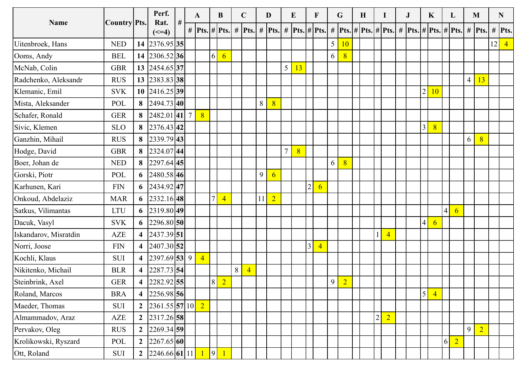|                       |                             |                         | Perf.                                     |           | $\mathbf{A}$   |                 | $\bf{B}$        | $\mathbf{C}$                                   |        | D                |                | $\bf{E}$ | $\mathbf{F}$ |                | $\mathbf{G}$    |                | $\mathbf H$ |                                   | $\mathbf{J}$                                          |                         | $\mathbf{K}$    | $\bf{L}$                    |                | M              | $\mathbf N$          |
|-----------------------|-----------------------------|-------------------------|-------------------------------------------|-----------|----------------|-----------------|-----------------|------------------------------------------------|--------|------------------|----------------|----------|--------------|----------------|-----------------|----------------|-------------|-----------------------------------|-------------------------------------------------------|-------------------------|-----------------|-----------------------------|----------------|----------------|----------------------|
| Name                  | Country Pts.                |                         | Rat.                                      | $+$ # $-$ |                |                 |                 | #  Pts.  #  Pts.   #  Pts.   #  Pts.   #  Pts. |        |                  |                |          |              |                |                 |                |             |                                   | #  Pts. # Pts. # Pts.  #  Pts. # Pts. # Pts.  #  Pts. |                         |                 |                             |                |                | $\#$ Pts.            |
|                       |                             |                         | $(\leq=4)$                                |           |                |                 |                 |                                                |        |                  |                |          | $#$ Pts.     |                |                 |                |             |                                   |                                                       |                         |                 |                             |                |                |                      |
| Uitenbroek, Hans      | <b>NED</b>                  |                         | 14 2376.95 35                             |           |                |                 |                 |                                                |        |                  |                |          |              |                | $5\overline{)}$ | 10             |             |                                   |                                                       |                         |                 |                             |                |                | 12<br>$\overline{4}$ |
| Ooms, Andy            | <b>BEL</b>                  |                         | 14 2306.52 36                             |           |                | $\vert 6 \vert$ | $6\overline{6}$ |                                                |        |                  |                |          |              |                | 6               | $\overline{8}$ |             |                                   |                                                       |                         |                 |                             |                |                |                      |
| McNab, Colin          | <b>GBR</b>                  |                         | 13 2454.65 37                             |           |                |                 |                 |                                                |        |                  | 5 <sup>5</sup> | 13       |              |                |                 |                |             |                                   |                                                       |                         |                 |                             |                |                |                      |
| Radchenko, Aleksandr  | <b>RUS</b>                  |                         | 13 2383.83 38                             |           |                |                 |                 |                                                |        |                  |                |          |              |                |                 |                |             |                                   |                                                       | $\overline{2}$          |                 |                             | $\overline{4}$ | 13             |                      |
| Klemanic, Emil        | <b>SVK</b>                  |                         | $10 \left  2416.25 \right  39$            |           |                |                 |                 |                                                |        |                  |                |          |              |                |                 |                |             |                                   |                                                       |                         | 10 <sup>°</sup> |                             |                |                |                      |
| Mista, Aleksander     | POL                         |                         | 8 $\big  2494.73 \big  40 \big $          |           |                |                 |                 |                                                | $\, 8$ | 8 <sup>1</sup>   |                |          |              |                |                 |                |             |                                   |                                                       |                         |                 |                             |                |                |                      |
| Schafer, Ronald       | ${\tt GER}$                 |                         | 8 $\big  2482.01 \big  41 \big  7$        |           | 8              |                 |                 |                                                |        |                  |                |          |              |                |                 |                |             |                                   |                                                       |                         |                 |                             |                |                |                      |
| Sivic, Klemen         | <b>SLO</b>                  |                         | 8 $ 2376.43 42 $                          |           |                |                 |                 |                                                |        |                  |                |          |              |                |                 |                |             |                                   |                                                       | $\overline{\mathbf{3}}$ | 8               |                             |                |                |                      |
| Ganzhin, Mihail       | <b>RUS</b>                  |                         | 8 $\big  2339.79 \big  43 \big $          |           |                |                 |                 |                                                |        |                  |                |          |              |                |                 |                |             |                                   |                                                       |                         |                 |                             | $6\vert$       | 8 <sup>°</sup> |                      |
| Hodge, David          | <b>GBR</b>                  |                         | 8 $\big  2324.07 \big  44 \big $          |           |                |                 |                 |                                                |        |                  |                | 8        |              |                |                 |                |             |                                   |                                                       |                         |                 |                             |                |                |                      |
| Boer, Johan de        | $\ensuremath{\mathsf{NED}}$ |                         | 8 $\left  \frac{2297.64}{45} \right $     |           |                |                 |                 |                                                |        |                  |                |          |              |                | 6               | $\sqrt{8}$     |             |                                   |                                                       |                         |                 |                             |                |                |                      |
| Gorski, Piotr         | POL                         |                         | 6 $\big  2480.58 \big  46 \big $          |           |                |                 |                 |                                                | 9      | $6 \overline{6}$ |                |          |              |                |                 |                |             |                                   |                                                       |                         |                 |                             |                |                |                      |
| Karhunen, Kari        | <b>FIN</b>                  |                         | 6 $\big  2434.92 \big  47 \big $          |           |                | $\overline{7}$  |                 |                                                |        |                  |                |          |              | $\overline{6}$ |                 |                |             |                                   |                                                       |                         |                 |                             |                |                |                      |
| Onkoud, Abdelaziz     | <b>MAR</b>                  |                         | 6 $\left  2332.16 \right  48$             |           |                |                 | $\overline{4}$  |                                                | 11     | $\overline{2}$   |                |          |              |                |                 |                |             |                                   |                                                       |                         |                 |                             |                |                |                      |
| Satkus, Vilimantas    | <b>LTU</b>                  |                         | 6 $ 2319.80 49 $                          |           |                |                 |                 |                                                |        |                  |                |          |              |                |                 |                |             |                                   |                                                       |                         |                 | $4\vert$<br>$6\overline{6}$ |                |                |                      |
| Dacuk, Vasyl          | <b>SVK</b>                  |                         | 6 $ 2296.80 50 $                          |           |                |                 |                 |                                                |        |                  |                |          |              |                |                 |                |             |                                   |                                                       | $\overline{4}$          | $\overline{6}$  |                             |                |                |                      |
| Iskandarov, Misratdin | ${\sf AZE}$                 |                         | 4 $\left  2437.39 \right  51$             |           |                |                 |                 |                                                |        |                  |                |          |              |                |                 |                |             | $\overline{4}$                    |                                                       |                         |                 |                             |                |                |                      |
| Norri, Joose          | <b>FIN</b>                  |                         | 4 $\left  2407.30 \right  52 \right $     |           |                |                 |                 |                                                |        |                  |                |          |              | $\overline{4}$ |                 |                |             |                                   |                                                       |                         |                 |                             |                |                |                      |
| Kochli, Klaus         | SUI                         | $\overline{\mathbf{4}}$ | $2397.69$ 53 9                            |           | $\overline{4}$ |                 |                 |                                                |        |                  |                |          |              |                |                 |                |             |                                   |                                                       |                         |                 |                             |                |                |                      |
| Nikitenko, Michail    | <b>BLR</b>                  | $\overline{\mathbf{4}}$ | $2287.73$ 54                              |           |                |                 |                 | 8 <sup>1</sup><br>$\overline{4}$               |        |                  |                |          |              |                |                 |                |             |                                   |                                                       |                         |                 |                             |                |                |                      |
| Steinbrink, Axel      | <b>GER</b>                  | $\overline{\mathbf{4}}$ | 2282.92 55                                |           |                | $\vert 8 \vert$ | $\overline{2}$  |                                                |        |                  |                |          |              |                | 9               | $\overline{2}$ |             |                                   |                                                       |                         |                 |                             |                |                |                      |
| Roland, Marcos        | <b>BRA</b>                  | $\overline{4}$          | 2256.98 56                                |           |                |                 |                 |                                                |        |                  |                |          |              |                |                 |                |             |                                   |                                                       | $\overline{\mathbf{5}}$ | $\overline{4}$  |                             |                |                |                      |
| Maeder, Thomas        | <b>SUI</b>                  | $\overline{2}$          | 2361.55 57 10 2                           |           |                |                 |                 |                                                |        |                  |                |          |              |                |                 |                |             |                                   |                                                       |                         |                 |                             |                |                |                      |
| Almammadov, Araz      | ${\sf AZE}$                 |                         | 2 $ 2317.26 58 $                          |           |                |                 |                 |                                                |        |                  |                |          |              |                |                 |                |             | $\left 2\right $ $\left 2\right $ |                                                       |                         |                 |                             |                |                |                      |
| Pervakov, Oleg        | $\rm RUS$                   | $\overline{2}$          | $2269.34$ 59                              |           |                |                 |                 |                                                |        |                  |                |          |              |                |                 |                |             |                                   |                                                       |                         |                 |                             | $\overline{9}$ | $\boxed{2}$    |                      |
| Krolikowski, Ryszard  | POL                         | $\overline{2}$          | 2267.65 60                                |           |                |                 |                 |                                                |        |                  |                |          |              |                |                 |                |             |                                   |                                                       |                         | 6               | $\overline{2}$              |                |                |                      |
| Ott, Roland           | SUI                         |                         | 2 $\big  2246.66 \big  61 \big  11 \big $ |           | 1 9            |                 | $\overline{1}$  |                                                |        |                  |                |          |              |                |                 |                |             |                                   |                                                       |                         |                 |                             |                |                |                      |